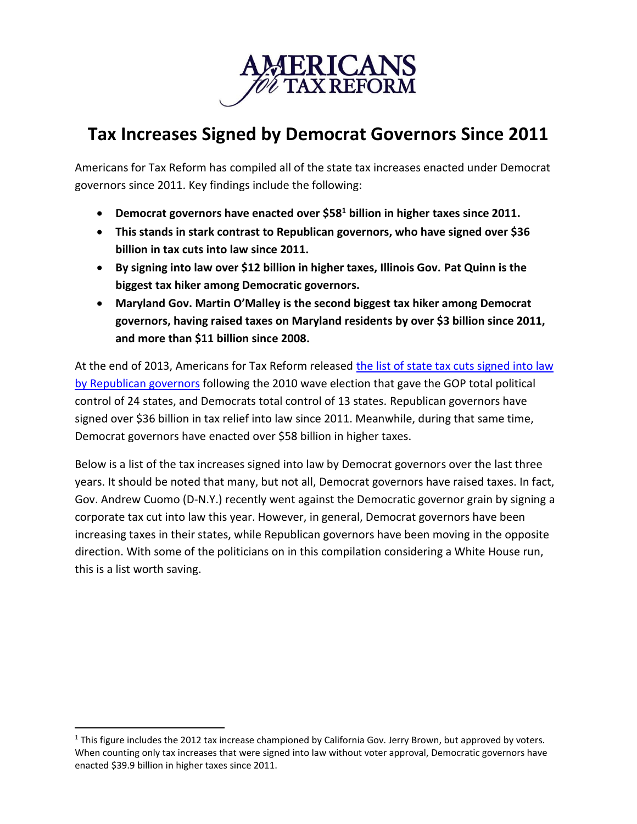

## **Tax Increases Signed by Democrat Governors Since 2011**

Americans for Tax Reform has compiled all of the state tax increases enacted under Democrat governors since 2011. Key findings include the following:

- **Democrat governors have enacted over \$58<sup>1</sup> billion in higher taxes since 2011.**
- **This stands in stark contrast to Republican governors, who have signed over \$36 billion in tax cuts into law since 2011.**
- **By signing into law over \$12 billion in higher taxes, Illinois Gov. Pat Quinn is the biggest tax hiker among Democratic governors.**
- **Maryland Gov. Martin O'Malley is the second biggest tax hiker among Democrat governors, having raised taxes on Maryland residents by over \$3 billion since 2011, and more than \$11 billion since 2008.**

At the end of 2013, Americans for Tax Reform released the list of state tax cuts signed into law [by Republican governors](https://www.atr.org/republican-governor-tax-cuts-a8043?no_cache=1399821606) following the 2010 wave election that gave the GOP total political control of 24 states, and Democrats total control of 13 states. Republican governors have signed over \$36 billion in tax relief into law since 2011. Meanwhile, during that same time, Democrat governors have enacted over \$58 billion in higher taxes.

Below is a list of the tax increases signed into law by Democrat governors over the last three years. It should be noted that many, but not all, Democrat governors have raised taxes. In fact, Gov. Andrew Cuomo (D-N.Y.) recently went against the Democratic governor grain by signing a corporate tax cut into law this year. However, in general, Democrat governors have been increasing taxes in their states, while Republican governors have been moving in the opposite direction. With some of the politicians on in this compilation considering a White House run, this is a list worth saving.

l

 $1$  This figure includes the 2012 tax increase championed by California Gov. Jerry Brown, but approved by voters. When counting only tax increases that were signed into law without voter approval, Democratic governors have enacted \$39.9 billion in higher taxes since 2011.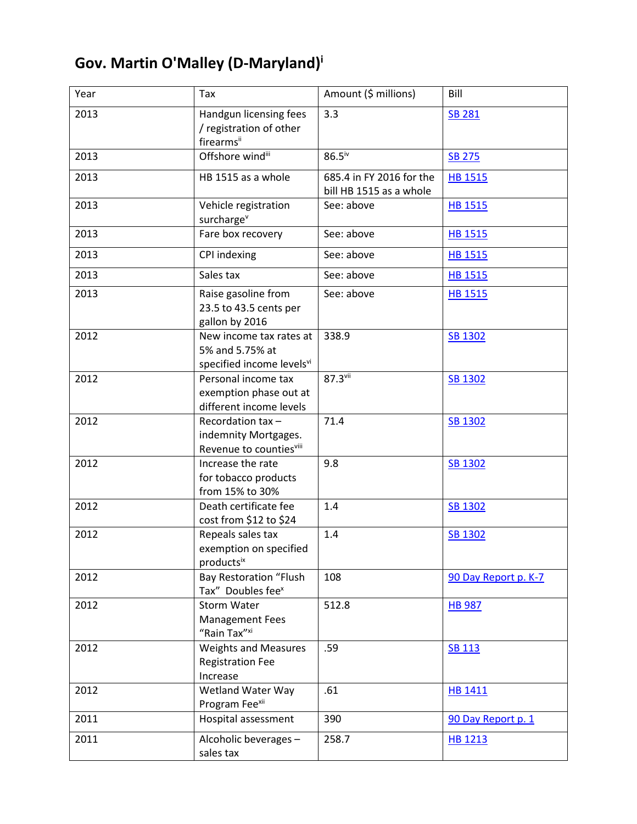# **Gov. Martin O'Malley (D-Maryland)<sup>i</sup>**

| Year | Tax                                                                      | Amount (\$ millions)                                | Bill                 |
|------|--------------------------------------------------------------------------|-----------------------------------------------------|----------------------|
| 2013 | Handgun licensing fees<br>/ registration of other<br>firearmsii          | 3.3                                                 | <b>SB 281</b>        |
| 2013 | Offshore windii                                                          | 86.5 <sup>iv</sup>                                  | <b>SB 275</b>        |
| 2013 | HB 1515 as a whole                                                       | 685.4 in FY 2016 for the<br>bill HB 1515 as a whole | <b>HB 1515</b>       |
| 2013 | Vehicle registration<br>surchargev                                       | See: above                                          | <b>HB 1515</b>       |
| 2013 | Fare box recovery                                                        | See: above                                          | <b>HB 1515</b>       |
| 2013 | CPI indexing                                                             | See: above                                          | <b>HB 1515</b>       |
| 2013 | Sales tax                                                                | See: above                                          | <b>HB 1515</b>       |
| 2013 | Raise gasoline from<br>23.5 to 43.5 cents per<br>gallon by 2016          | See: above                                          | <b>HB 1515</b>       |
| 2012 | New income tax rates at<br>5% and 5.75% at<br>specified income levelsvi  | 338.9                                               | SB 1302              |
| 2012 | Personal income tax<br>exemption phase out at<br>different income levels | 87.3vii                                             | <b>SB 1302</b>       |
| 2012 | Recordation tax-<br>indemnity Mortgages.<br>Revenue to countiesvill      | 71.4                                                | <b>SB 1302</b>       |
| 2012 | Increase the rate<br>for tobacco products<br>from 15% to 30%             | 9.8                                                 | SB 1302              |
| 2012 | Death certificate fee<br>cost from \$12 to \$24                          | 1.4                                                 | <b>SB 1302</b>       |
| 2012 | Repeals sales tax<br>exemption on specified<br>productsix                | 1.4                                                 | <b>SB 1302</b>       |
| 2012 | <b>Bay Restoration "Flush</b><br>Tax" Doubles fee <sup>x</sup>           | 108                                                 | 90 Day Report p. K-7 |
| 2012 | <b>Storm Water</b><br><b>Management Fees</b><br>"Rain Tax" <sup>xi</sup> | 512.8                                               | <b>HB 987</b>        |
| 2012 | <b>Weights and Measures</b><br><b>Registration Fee</b><br>Increase       | .59                                                 | <b>SB 113</b>        |
| 2012 | Wetland Water Way<br>Program Fee <sup>xii</sup>                          | .61                                                 | HB 1411              |
| 2011 | Hospital assessment                                                      | 390                                                 | 90 Day Report p. 1   |
| 2011 | Alcoholic beverages -<br>sales tax                                       | 258.7                                               | <b>HB 1213</b>       |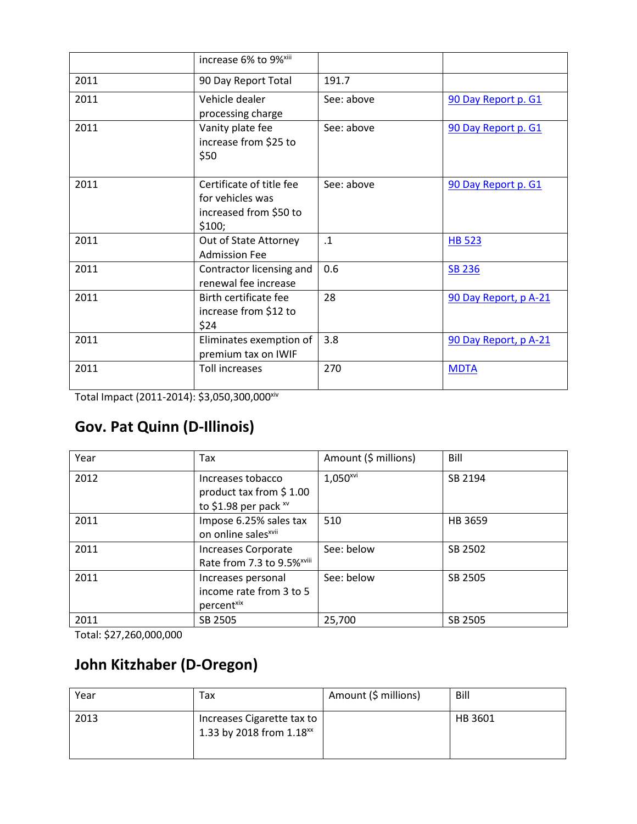|      | increase 6% to 9% <sup>xiii</sup>                                                |            |                       |
|------|----------------------------------------------------------------------------------|------------|-----------------------|
| 2011 | 90 Day Report Total                                                              | 191.7      |                       |
| 2011 | Vehicle dealer<br>processing charge                                              | See: above | 90 Day Report p. G1   |
| 2011 | Vanity plate fee<br>increase from \$25 to<br>\$50                                | See: above | 90 Day Report p. G1   |
| 2011 | Certificate of title fee<br>for vehicles was<br>increased from \$50 to<br>\$100; | See: above | 90 Day Report p. G1   |
| 2011 | Out of State Attorney<br><b>Admission Fee</b>                                    | $\cdot$ 1  | HB 523                |
| 2011 | Contractor licensing and<br>renewal fee increase                                 | 0.6        | <b>SB 236</b>         |
| 2011 | Birth certificate fee<br>increase from \$12 to<br>\$24                           | 28         | 90 Day Report, p A-21 |
| 2011 | Eliminates exemption of<br>premium tax on IWIF                                   | 3.8        | 90 Day Report, p A-21 |
| 2011 | <b>Toll increases</b>                                                            | 270        | <b>MDTA</b>           |

Total Impact (2011-2014): \$3,050,300,000xiv

## **Gov. Pat Quinn (D-Illinois)**

| Year | Tax                                                                     | Amount (\$ millions)   | Bill    |
|------|-------------------------------------------------------------------------|------------------------|---------|
| 2012 | Increases tobacco<br>product tax from $$1.00$<br>to \$1.98 per pack xv  | $1,050$ <sup>xvi</sup> | SB 2194 |
| 2011 | Impose 6.25% sales tax<br>on online sales <sup>xvii</sup>               | 510                    | HB 3659 |
| 2011 | Increases Corporate<br>Rate from 7.3 to 9.5% <sup>xviii</sup>           | See: below             | SB 2502 |
| 2011 | Increases personal<br>income rate from 3 to 5<br>percent <sup>xix</sup> | See: below             | SB 2505 |
| 2011 | SB 2505                                                                 | 25,700                 | SB 2505 |

Total: \$27,260,000,000

## **John Kitzhaber (D-Oregon)**

| Year | Tax                                                                | Amount (\$ millions) | Bill    |
|------|--------------------------------------------------------------------|----------------------|---------|
| 2013 | Increases Cigarette tax to<br>1.33 by 2018 from 1.18 <sup>xx</sup> |                      | HB 3601 |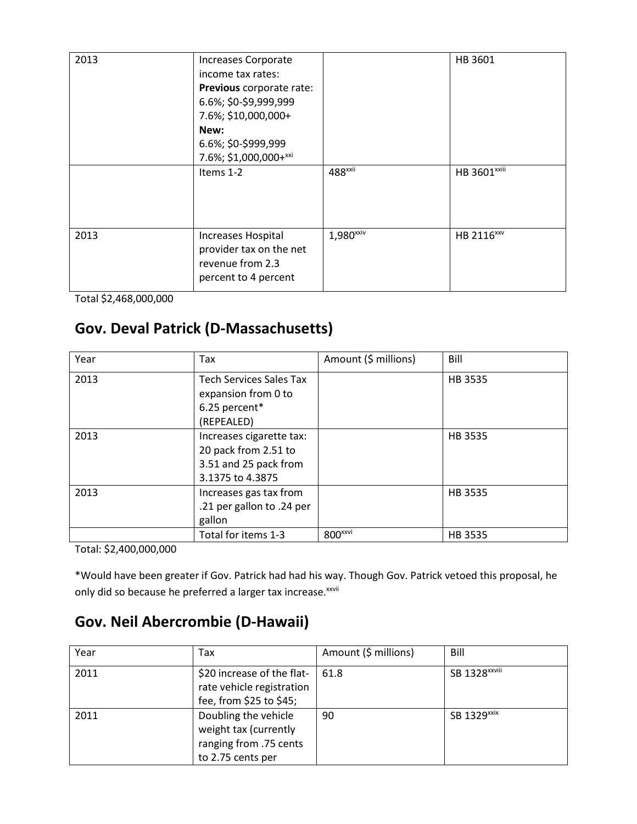| 2013 | Increases Corporate<br>income tax rates:<br>Previous corporate rate:<br>6.6%; \$0-\$9,999,999<br>7.6%; \$10,000,000+<br>New:<br>6.6%; \$0-\$999,999<br>7.6%; \$1,000,000+xxi |                       | HB 3601                  |
|------|------------------------------------------------------------------------------------------------------------------------------------------------------------------------------|-----------------------|--------------------------|
|      | Items 1-2                                                                                                                                                                    | 488 <sup>xxii</sup>   | HB 3601 <sup>xxiii</sup> |
| 2013 | Increases Hospital<br>provider tax on the net<br>revenue from 2.3<br>percent to 4 percent                                                                                    | 1,980 <sup>xxiv</sup> | HB 2116 <sup>xxv</sup>   |

Total \$2,468,000,000

#### **Gov. Deval Patrick (D-Massachusetts)**

| Year | Tax                                                                                           | Amount (\$ millions) | Bill    |
|------|-----------------------------------------------------------------------------------------------|----------------------|---------|
| 2013 | <b>Tech Services Sales Tax</b><br>expansion from 0 to<br>6.25 percent*<br>(REPEALED)          |                      | HB 3535 |
| 2013 | Increases cigarette tax:<br>20 pack from 2.51 to<br>3.51 and 25 pack from<br>3.1375 to 4.3875 |                      | HB 3535 |
| 2013 | Increases gas tax from<br>.21 per gallon to .24 per<br>gallon                                 |                      | HB 3535 |
|      | Total for items 1-3                                                                           | 800 <sup>xxvi</sup>  | HB 3535 |

Total: \$2,400,000,000

\*Would have been greater if Gov. Patrick had had his way. Though Gov. Patrick vetoed this proposal, he only did so because he preferred a larger tax increase. XXVII

#### **Gov. Neil Abercrombie (D-Hawaii)**

| Year | Tax                                                                                          | Amount (\$ millions) | Bill                      |
|------|----------------------------------------------------------------------------------------------|----------------------|---------------------------|
| 2011 | \$20 increase of the flat-<br>rate vehicle registration<br>fee, from \$25 to \$45;           | 61.8                 | SB 1328 <sup>xxviii</sup> |
| 2011 | Doubling the vehicle<br>weight tax (currently<br>ranging from .75 cents<br>to 2.75 cents per | 90                   | SB 1329 <sup>xxix</sup>   |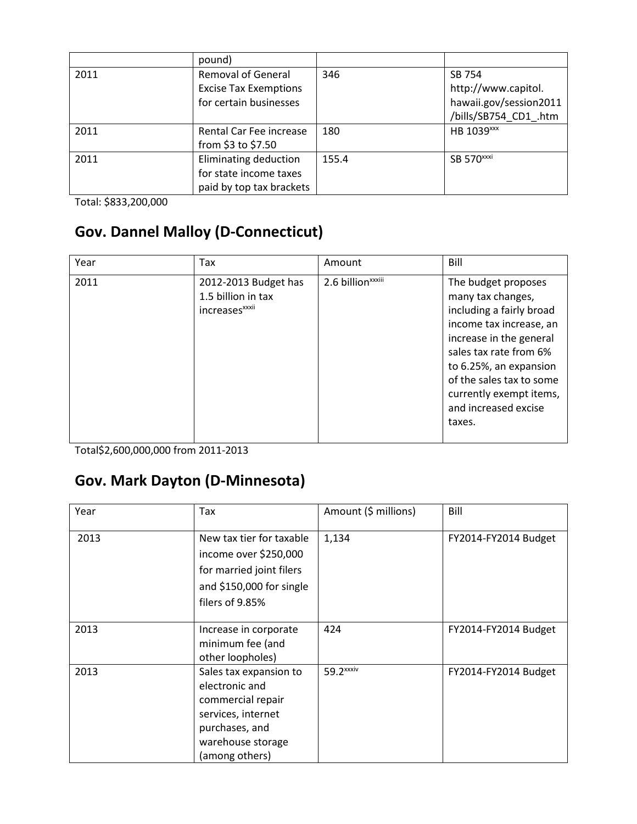|      | pound)                                                                              |       |                                                                                  |
|------|-------------------------------------------------------------------------------------|-------|----------------------------------------------------------------------------------|
| 2011 | <b>Removal of General</b><br><b>Excise Tax Exemptions</b><br>for certain businesses | 346   | SB 754<br>http://www.capitol.<br>hawaii.gov/session2011<br>/bills/SB754 CD1 .htm |
| 2011 | Rental Car Fee increase<br>from \$3 to \$7.50                                       | 180   | HB 1039 <sup>xxx</sup>                                                           |
| 2011 | Eliminating deduction<br>for state income taxes<br>paid by top tax brackets         | 155.4 | SB 570 <sup>xxxi</sup>                                                           |

Total: \$833,200,000

## **Gov. Dannel Malloy (D-Connecticut)**

| Year | Tax                                                                      | Amount                        | Bill                                                                                                                                                                                                                                                                    |
|------|--------------------------------------------------------------------------|-------------------------------|-------------------------------------------------------------------------------------------------------------------------------------------------------------------------------------------------------------------------------------------------------------------------|
| 2011 | 2012-2013 Budget has<br>1.5 billion in tax<br>increases <sup>xxxii</sup> | 2.6 billion <sup>xxxiii</sup> | The budget proposes<br>many tax changes,<br>including a fairly broad<br>income tax increase, an<br>increase in the general<br>sales tax rate from 6%<br>to 6.25%, an expansion<br>of the sales tax to some<br>currently exempt items,<br>and increased excise<br>taxes. |

Total\$2,600,000,000 from 2011-2013

## **Gov. Mark Dayton (D-Minnesota)**

| Year | Tax                                                                                                                                          | Amount (\$ millions)  | Bill                 |
|------|----------------------------------------------------------------------------------------------------------------------------------------------|-----------------------|----------------------|
| 2013 | New tax tier for taxable<br>income over \$250,000<br>for married joint filers<br>and $$150,000$ for single<br>filers of 9.85%                | 1,134                 | FY2014-FY2014 Budget |
| 2013 | Increase in corporate<br>minimum fee (and<br>other loopholes)                                                                                | 424                   | FY2014-FY2014 Budget |
| 2013 | Sales tax expansion to<br>electronic and<br>commercial repair<br>services, internet<br>purchases, and<br>warehouse storage<br>(among others) | 59.2 <sup>xxxiv</sup> | FY2014-FY2014 Budget |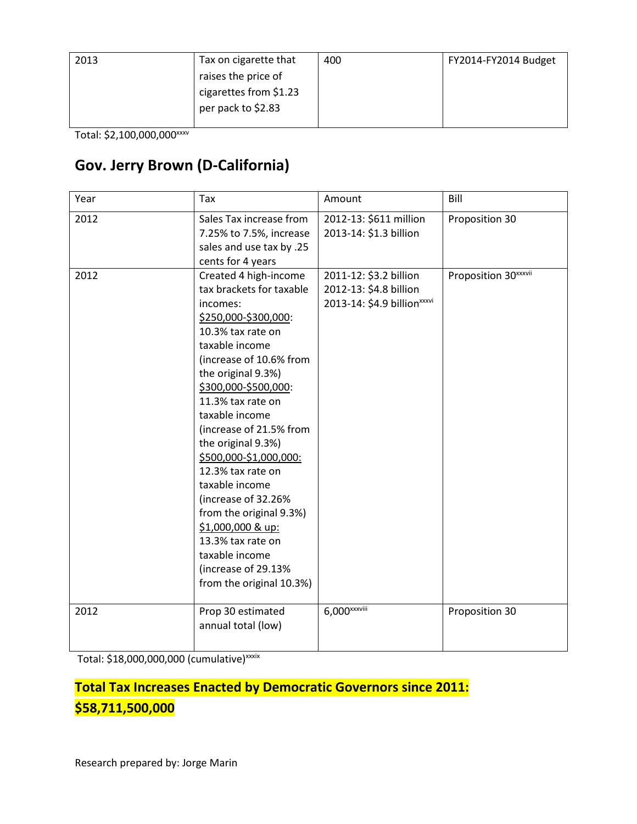| 2013 | Tax on cigarette that  | 400 | FY2014-FY2014 Budget |
|------|------------------------|-----|----------------------|
|      | raises the price of    |     |                      |
|      | cigarettes from \$1.23 |     |                      |
|      | per pack to \$2.83     |     |                      |
|      |                        |     |                      |

Total: \$2,100,000,000×××

### **Gov. Jerry Brown (D-California)**

| Year | Tax                      | Amount                                  | Bill                             |
|------|--------------------------|-----------------------------------------|----------------------------------|
| 2012 | Sales Tax increase from  | 2012-13: \$611 million                  | Proposition 30                   |
|      | 7.25% to 7.5%, increase  | 2013-14: \$1.3 billion                  |                                  |
|      | sales and use tax by .25 |                                         |                                  |
|      | cents for 4 years        |                                         |                                  |
| 2012 | Created 4 high-income    | 2011-12: \$3.2 billion                  | Proposition 30 <sup>xxxvii</sup> |
|      | tax brackets for taxable | 2012-13: \$4.8 billion                  |                                  |
|      | incomes:                 | 2013-14: \$4.9 billion <sup>xxxvi</sup> |                                  |
|      | \$250,000-\$300,000:     |                                         |                                  |
|      | 10.3% tax rate on        |                                         |                                  |
|      | taxable income           |                                         |                                  |
|      | (increase of 10.6% from  |                                         |                                  |
|      | the original 9.3%)       |                                         |                                  |
|      | \$300,000-\$500,000:     |                                         |                                  |
|      | 11.3% tax rate on        |                                         |                                  |
|      | taxable income           |                                         |                                  |
|      | (increase of 21.5% from  |                                         |                                  |
|      | the original 9.3%)       |                                         |                                  |
|      | \$500,000-\$1,000,000:   |                                         |                                  |
|      | 12.3% tax rate on        |                                         |                                  |
|      | taxable income           |                                         |                                  |
|      | (increase of 32.26%      |                                         |                                  |
|      | from the original 9.3%)  |                                         |                                  |
|      | \$1,000,000 & up:        |                                         |                                  |
|      | 13.3% tax rate on        |                                         |                                  |
|      | taxable income           |                                         |                                  |
|      | (increase of 29.13%      |                                         |                                  |
|      | from the original 10.3%) |                                         |                                  |
| 2012 | Prop 30 estimated        | $6,000$ <sup>xxxviii</sup>              | Proposition 30                   |
|      | annual total (low)       |                                         |                                  |
|      |                          |                                         |                                  |

Total: \$18,000,000,000 (cumulative)<sup>xxxix</sup>

#### **Total Tax Increases Enacted by Democratic Governors since 2011: \$58,711,500,000**